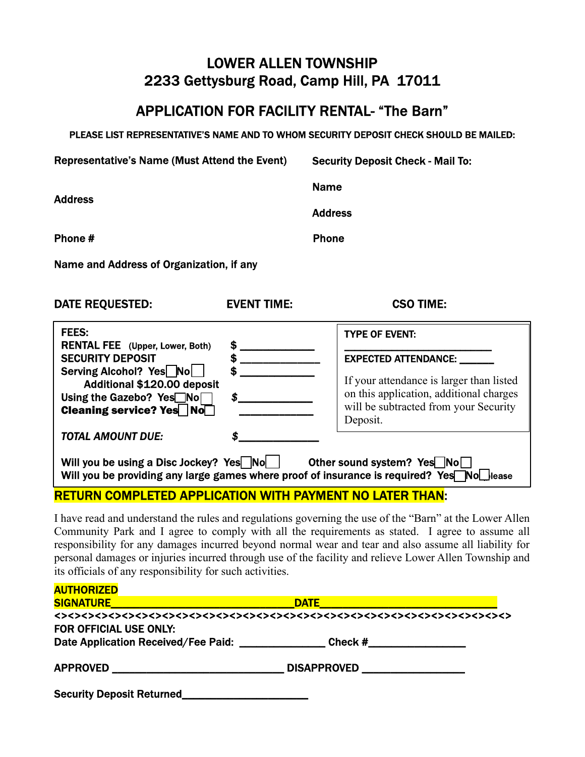## LOWER ALLEN TOWNSHIP 2233 Gettysburg Road, Camp Hill, PA 17011

### APPLICATION FOR FACILITY RENTAL- "The Barn"

PLEASE LIST REPRESENTATIVE'S NAME AND TO WHOM SECURITY DEPOSIT CHECK SHOULD BE MAILED:

| <b>Representative's Name (Must Attend the Event)</b>                                                                                                        |                    | <b>Security Deposit Check - Mail To:</b>                                                                                                                                |  |
|-------------------------------------------------------------------------------------------------------------------------------------------------------------|--------------------|-------------------------------------------------------------------------------------------------------------------------------------------------------------------------|--|
| <b>Address</b>                                                                                                                                              |                    | <b>Name</b>                                                                                                                                                             |  |
|                                                                                                                                                             |                    | <b>Address</b>                                                                                                                                                          |  |
| Phone #                                                                                                                                                     |                    | <b>Phone</b>                                                                                                                                                            |  |
| Name and Address of Organization, if any                                                                                                                    |                    |                                                                                                                                                                         |  |
| <b>DATE REQUESTED:</b>                                                                                                                                      | <b>EVENT TIME:</b> | <b>CSO TIME:</b>                                                                                                                                                        |  |
| FEES:<br><b>RENTAL FEE</b> (Upper, Lower, Both)                                                                                                             |                    | <b>TYPE OF EVENT:</b>                                                                                                                                                   |  |
| <b>SECURITY DEPOSIT</b><br>Serving Alcohol? Yes No<br>Additional \$120.00 deposit<br>Using the Gazebo? Yes <sup>No</sup><br><b>Cleaning service? Yes</b> No | S<br>\$            | <b>EXPECTED ATTENDANCE:</b><br>If your attendance is larger than listed<br>on this application, additional charges<br>will be subtracted from your Security<br>Deposit. |  |
| <b>TOTAL AMOUNT DUE:</b>                                                                                                                                    |                    |                                                                                                                                                                         |  |

Will you be using a Disc Jockey? Yes  $\blacksquare$  No  $\blacksquare$  Other sound system? Yes  $\blacksquare$  No  $\blacksquare$ Will you be providing any large games where proof of insurance is required? Yes  $\blacksquare$  No lease

RETURN COMPLETED APPLICATION WITH PAYMENT NO LATER THAN:

I have read and understand the rules and regulations governing the use of the "Barn" at the Lower Allen Community Park and I agree to comply with all the requirements as stated. I agree to assume all responsibility for any damages incurred beyond normal wear and tear and also assume all liability for personal damages or injuries incurred through use of the facility and relieve Lower Allen Township and its officials of any responsibility for such activities.

| <b>AUTHORIZED</b>                                   |                                                                                                                                                                                            |  |  |
|-----------------------------------------------------|--------------------------------------------------------------------------------------------------------------------------------------------------------------------------------------------|--|--|
| <b>SIGNATURE</b>                                    | <b>DATE</b><br>$\mathcal{L}^{\text{max}}_{\text{max}}$ and $\mathcal{L}^{\text{max}}_{\text{max}}$ and $\mathcal{L}^{\text{max}}_{\text{max}}$ and $\mathcal{L}^{\text{max}}_{\text{max}}$ |  |  |
|                                                     |                                                                                                                                                                                            |  |  |
| FOR OFFICIAL USE ONLY:                              |                                                                                                                                                                                            |  |  |
| Date Application Received/Fee Paid: _______________ | Check #__________________                                                                                                                                                                  |  |  |
| <b>APPROVED</b>                                     | DISAPPROVED __________________                                                                                                                                                             |  |  |
| <b>Security Deposit Returned</b>                    |                                                                                                                                                                                            |  |  |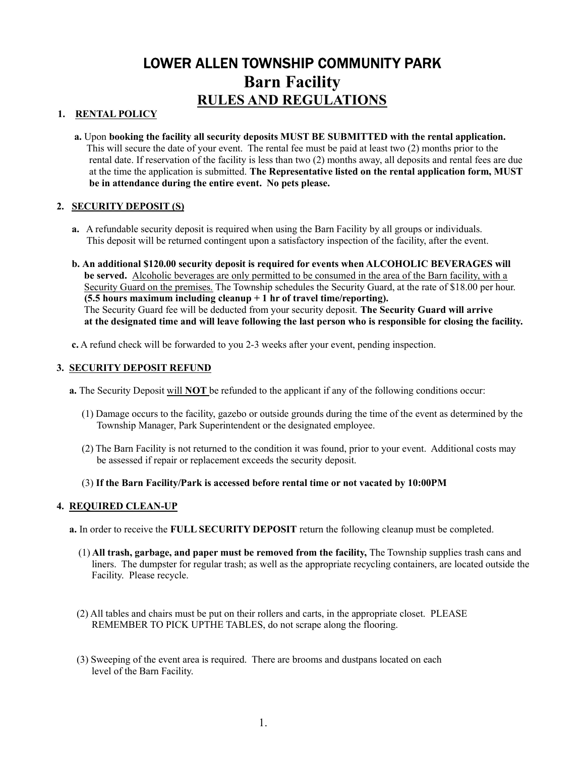# LOWER ALLEN TOWNSHIP COMMUNITY PARK Barn Facility RULES AND REGULATIONS

#### 1. RENTAL POLICY

 a. Upon booking the facility all security deposits MUST BE SUBMITTED with the rental application. This will secure the date of your event. The rental fee must be paid at least two (2) months prior to the rental date. If reservation of the facility is less than two (2) months away, all deposits and rental fees are due at the time the application is submitted. The Representative listed on the rental application form, MUST be in attendance during the entire event. No pets please.

### 2. SECURITY DEPOSIT (S)

- a. A refundable security deposit is required when using the Barn Facility by all groups or individuals. This deposit will be returned contingent upon a satisfactory inspection of the facility, after the event.
- b. An additional \$120.00 security deposit is required for events when ALCOHOLIC BEVERAGES will be served. Alcoholic beverages are only permitted to be consumed in the area of the Barn facility, with a Security Guard on the premises. The Township schedules the Security Guard, at the rate of \$18.00 per hour. (5.5 hours maximum including cleanup  $+1$  hr of travel time/reporting). The Security Guard fee will be deducted from your security deposit. The Security Guard will arrive at the designated time and will leave following the last person who is responsible for closing the facility.
- c. A refund check will be forwarded to you 2-3 weeks after your event, pending inspection.

#### 3. SECURITY DEPOSIT REFUND

- a. The Security Deposit will NOT be refunded to the applicant if any of the following conditions occur:
	- (1) Damage occurs to the facility, gazebo or outside grounds during the time of the event as determined by the Township Manager, Park Superintendent or the designated employee.
	- (2) The Barn Facility is not returned to the condition it was found, prior to your event. Additional costs may be assessed if repair or replacement exceeds the security deposit.

#### (3) If the Barn Facility/Park is accessed before rental time or not vacated by 10:00PM

#### 4. REQUIRED CLEAN-UP

- a. In order to receive the FULL SECURITY DEPOSIT return the following cleanup must be completed.
	- (1) All trash, garbage, and paper must be removed from the facility, The Township supplies trash cans and liners. The dumpster for regular trash; as well as the appropriate recycling containers, are located outside the Facility. Please recycle.
	- (2) All tables and chairs must be put on their rollers and carts, in the appropriate closet. PLEASE REMEMBER TO PICK UPTHE TABLES, do not scrape along the flooring.
	- (3) Sweeping of the event area is required. There are brooms and dustpans located on each level of the Barn Facility.